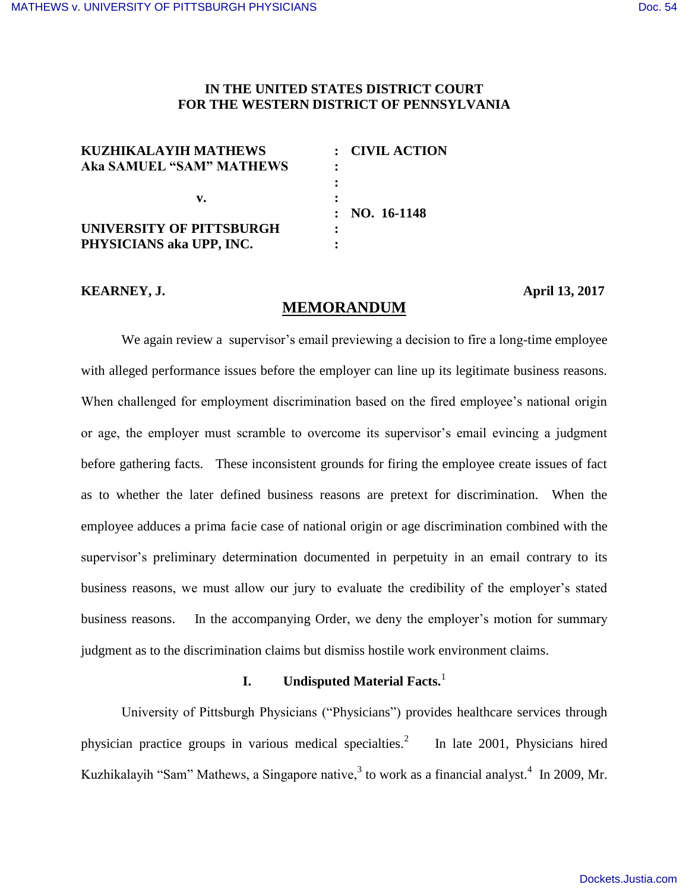## **IN THE UNITED STATES DISTRICT COURT FOR THE WESTERN DISTRICT OF PENNSYLVANIA**

| <b>KUZHIKALAYIH MATHEWS</b>     | : CIVIL ACTION        |
|---------------------------------|-----------------------|
| <b>Aka SAMUEL "SAM" MATHEWS</b> |                       |
|                                 |                       |
| v.                              | $: \; NO. \; 16-1148$ |
| UNIVERSITY OF PITTSBURGH        |                       |
| PHYSICIANS aka UPP, INC.        |                       |

## **KEARNEY, J. April 13, 2017**

# **MEMORANDUM**

We again review a supervisor's email previewing a decision to fire a long-time employee with alleged performance issues before the employer can line up its legitimate business reasons. When challenged for employment discrimination based on the fired employee's national origin or age, the employer must scramble to overcome its supervisor's email evincing a judgment before gathering facts. These inconsistent grounds for firing the employee create issues of fact as to whether the later defined business reasons are pretext for discrimination. When the employee adduces a prima facie case of national origin or age discrimination combined with the supervisor's preliminary determination documented in perpetuity in an email contrary to its business reasons, we must allow our jury to evaluate the credibility of the employer's stated business reasons. In the accompanying Order, we deny the employer's motion for summary judgment as to the discrimination claims but dismiss hostile work environment claims.

# **I. Undisputed Material Facts.**<sup>1</sup>

University of Pittsburgh Physicians ("Physicians") provides healthcare services through physician practice groups in various medical specialties.<sup>2</sup> In late 2001, Physicians hired Kuzhikalayih "Sam" Mathews, a Singapore native,<sup>3</sup> to work as a financial analyst.<sup>4</sup> In 2009, Mr.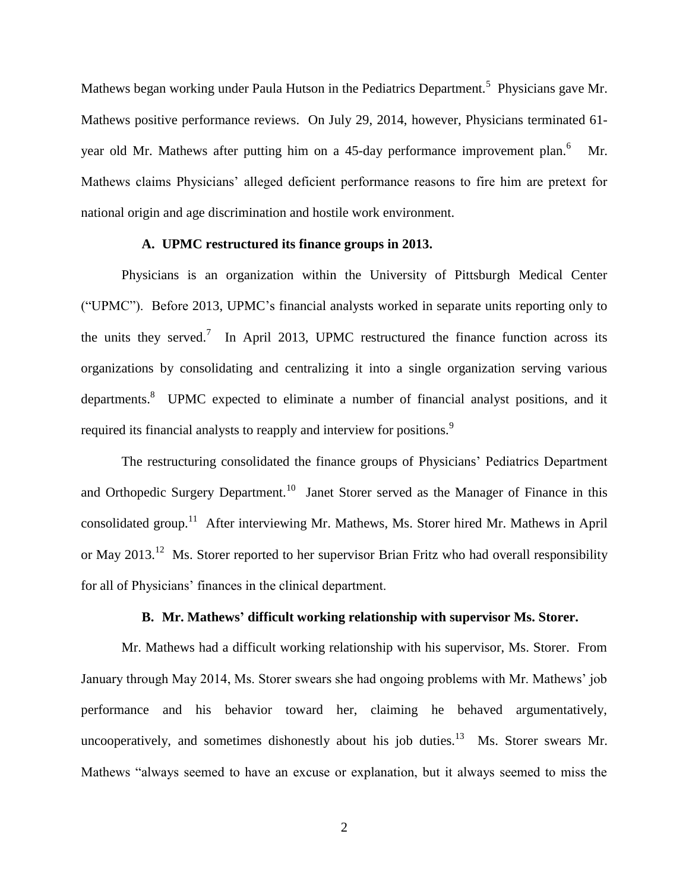Mathews began working under Paula Hutson in the Pediatrics Department.<sup>5</sup> Physicians gave Mr. Mathews positive performance reviews. On July 29, 2014, however, Physicians terminated 61 year old Mr. Mathews after putting him on a 45-day performance improvement plan.<sup>6</sup> Mr. Mathews claims Physicians' alleged deficient performance reasons to fire him are pretext for national origin and age discrimination and hostile work environment.

# **A. UPMC restructured its finance groups in 2013.**

Physicians is an organization within the University of Pittsburgh Medical Center ("UPMC"). Before 2013, UPMC's financial analysts worked in separate units reporting only to the units they served.<sup>7</sup> In April 2013, UPMC restructured the finance function across its organizations by consolidating and centralizing it into a single organization serving various departments.<sup>8</sup> UPMC expected to eliminate a number of financial analyst positions, and it required its financial analysts to reapply and interview for positions.<sup>9</sup>

The restructuring consolidated the finance groups of Physicians' Pediatrics Department and Orthopedic Surgery Department.<sup>10</sup> Janet Storer served as the Manager of Finance in this consolidated group.<sup>11</sup> After interviewing Mr. Mathews, Ms. Storer hired Mr. Mathews in April or May 2013.<sup>12</sup> Ms. Storer reported to her supervisor Brian Fritz who had overall responsibility for all of Physicians' finances in the clinical department.

## **B. Mr. Mathews' difficult working relationship with supervisor Ms. Storer.**

Mr. Mathews had a difficult working relationship with his supervisor, Ms. Storer. From January through May 2014, Ms. Storer swears she had ongoing problems with Mr. Mathews' job performance and his behavior toward her, claiming he behaved argumentatively, uncooperatively, and sometimes dishonestly about his job duties.<sup>13</sup> Ms. Storer swears Mr. Mathews "always seemed to have an excuse or explanation, but it always seemed to miss the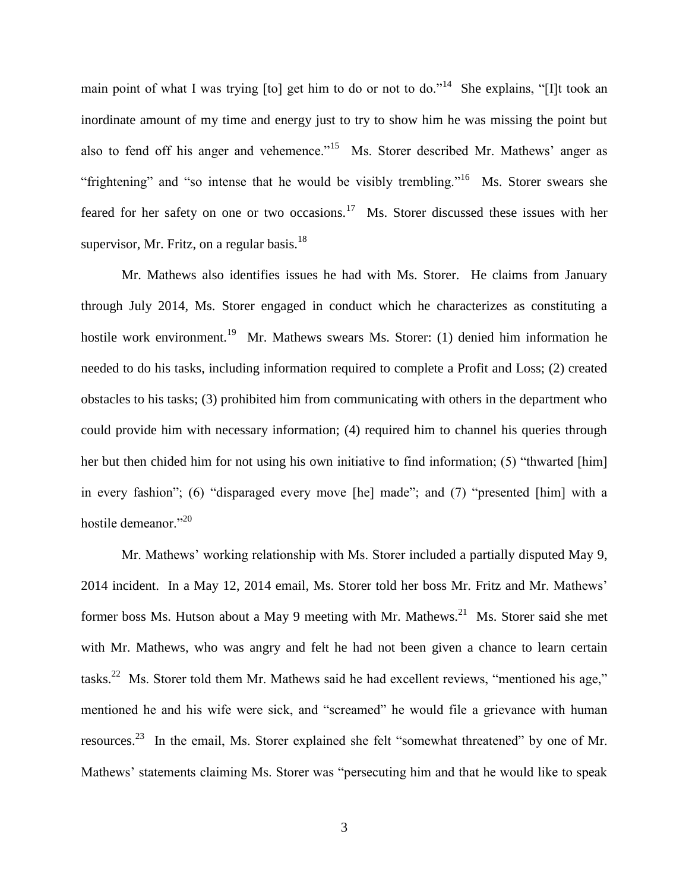main point of what I was trying [to] get him to do or not to do."<sup>14</sup> She explains, "[I]t took an inordinate amount of my time and energy just to try to show him he was missing the point but also to fend off his anger and vehemence."<sup>15</sup> Ms. Storer described Mr. Mathews' anger as "frightening" and "so intense that he would be visibly trembling."<sup>16</sup> Ms. Storer swears she feared for her safety on one or two occasions.<sup>17</sup> Ms. Storer discussed these issues with her supervisor, Mr. Fritz, on a regular basis.<sup>18</sup>

Mr. Mathews also identifies issues he had with Ms. Storer. He claims from January through July 2014, Ms. Storer engaged in conduct which he characterizes as constituting a hostile work environment.<sup>19</sup> Mr. Mathews swears Ms. Storer: (1) denied him information he needed to do his tasks, including information required to complete a Profit and Loss; (2) created obstacles to his tasks; (3) prohibited him from communicating with others in the department who could provide him with necessary information; (4) required him to channel his queries through her but then chided him for not using his own initiative to find information; (5) "thwarted [him] in every fashion"; (6) "disparaged every move [he] made"; and (7) "presented [him] with a hostile demeanor."<sup>20</sup>

Mr. Mathews' working relationship with Ms. Storer included a partially disputed May 9, 2014 incident. In a May 12, 2014 email, Ms. Storer told her boss Mr. Fritz and Mr. Mathews' former boss Ms. Hutson about a May 9 meeting with Mr. Mathews.<sup>21</sup> Ms. Storer said she met with Mr. Mathews, who was angry and felt he had not been given a chance to learn certain tasks.<sup>22</sup> Ms. Storer told them Mr. Mathews said he had excellent reviews, "mentioned his age," mentioned he and his wife were sick, and "screamed" he would file a grievance with human resources.<sup>23</sup> In the email, Ms. Storer explained she felt "somewhat threatened" by one of Mr. Mathews' statements claiming Ms. Storer was "persecuting him and that he would like to speak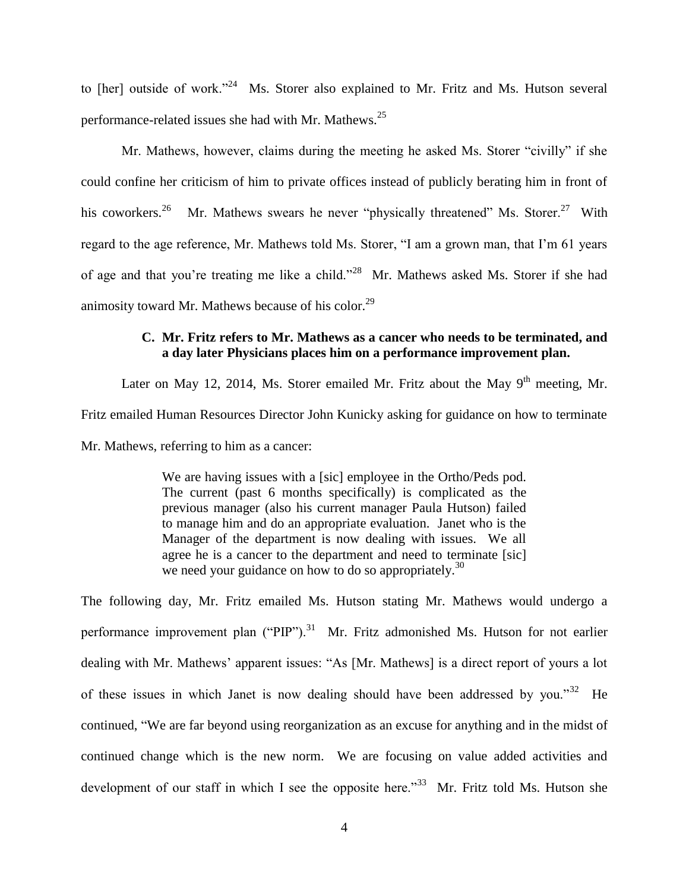to [her] outside of work."<sup>24</sup> Ms. Storer also explained to Mr. Fritz and Ms. Hutson several performance-related issues she had with Mr. Mathews.<sup>25</sup>

Mr. Mathews, however, claims during the meeting he asked Ms. Storer "civilly" if she could confine her criticism of him to private offices instead of publicly berating him in front of his coworkers.<sup>26</sup> Mr. Mathews swears he never "physically threatened" Ms. Storer.<sup>27</sup> With regard to the age reference, Mr. Mathews told Ms. Storer, "I am a grown man, that I'm 61 years of age and that you're treating me like a child."<sup>28</sup> Mr. Mathews asked Ms. Storer if she had animosity toward Mr. Mathews because of his color.<sup>29</sup>

# **C. Mr. Fritz refers to Mr. Mathews as a cancer who needs to be terminated, and a day later Physicians places him on a performance improvement plan.**

Later on May 12, 2014, Ms. Storer emailed Mr. Fritz about the May  $9<sup>th</sup>$  meeting, Mr. Fritz emailed Human Resources Director John Kunicky asking for guidance on how to terminate Mr. Mathews, referring to him as a cancer:

> We are having issues with a [sic] employee in the Ortho/Peds pod. The current (past 6 months specifically) is complicated as the previous manager (also his current manager Paula Hutson) failed to manage him and do an appropriate evaluation. Janet who is the Manager of the department is now dealing with issues. We all agree he is a cancer to the department and need to terminate [sic] we need your guidance on how to do so appropriately.<sup>30</sup>

The following day, Mr. Fritz emailed Ms. Hutson stating Mr. Mathews would undergo a performance improvement plan ("PIP").<sup>31</sup> Mr. Fritz admonished Ms. Hutson for not earlier dealing with Mr. Mathews' apparent issues: "As [Mr. Mathews] is a direct report of yours a lot of these issues in which Janet is now dealing should have been addressed by you."<sup>32</sup> He continued, "We are far beyond using reorganization as an excuse for anything and in the midst of continued change which is the new norm. We are focusing on value added activities and development of our staff in which I see the opposite here."<sup>33</sup> Mr. Fritz told Ms. Hutson she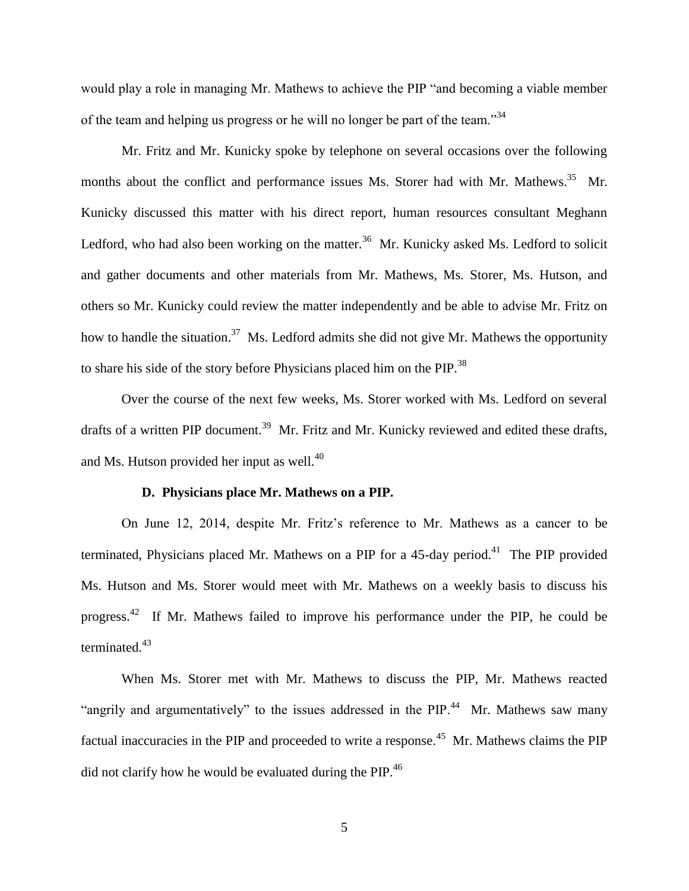would play a role in managing Mr. Mathews to achieve the PIP "and becoming a viable member of the team and helping us progress or he will no longer be part of the team.<sup>34</sup>

Mr. Fritz and Mr. Kunicky spoke by telephone on several occasions over the following months about the conflict and performance issues Ms. Storer had with Mr. Mathews.<sup>35</sup> Mr. Kunicky discussed this matter with his direct report, human resources consultant Meghann Ledford, who had also been working on the matter.<sup>36</sup> Mr. Kunicky asked Ms. Ledford to solicit and gather documents and other materials from Mr. Mathews, Ms. Storer, Ms. Hutson, and others so Mr. Kunicky could review the matter independently and be able to advise Mr. Fritz on how to handle the situation.<sup>37</sup> Ms. Ledford admits she did not give Mr. Mathews the opportunity to share his side of the story before Physicians placed him on the PIP.<sup>38</sup>

Over the course of the next few weeks, Ms. Storer worked with Ms. Ledford on several drafts of a written PIP document.<sup>39</sup> Mr. Fritz and Mr. Kunicky reviewed and edited these drafts, and Ms. Hutson provided her input as well. $^{40}$ 

#### **D. Physicians place Mr. Mathews on a PIP.**

On June 12, 2014, despite Mr. Fritz's reference to Mr. Mathews as a cancer to be terminated, Physicians placed Mr. Mathews on a PIP for a 45-day period.<sup>41</sup> The PIP provided Ms. Hutson and Ms. Storer would meet with Mr. Mathews on a weekly basis to discuss his progress.<sup>42</sup> If Mr. Mathews failed to improve his performance under the PIP, he could be terminated.<sup>43</sup>

When Ms. Storer met with Mr. Mathews to discuss the PIP, Mr. Mathews reacted "angrily and argumentatively" to the issues addressed in the PIP. $44$  Mr. Mathews saw many factual inaccuracies in the PIP and proceeded to write a response.<sup>45</sup> Mr. Mathews claims the PIP did not clarify how he would be evaluated during the PIP.<sup>46</sup>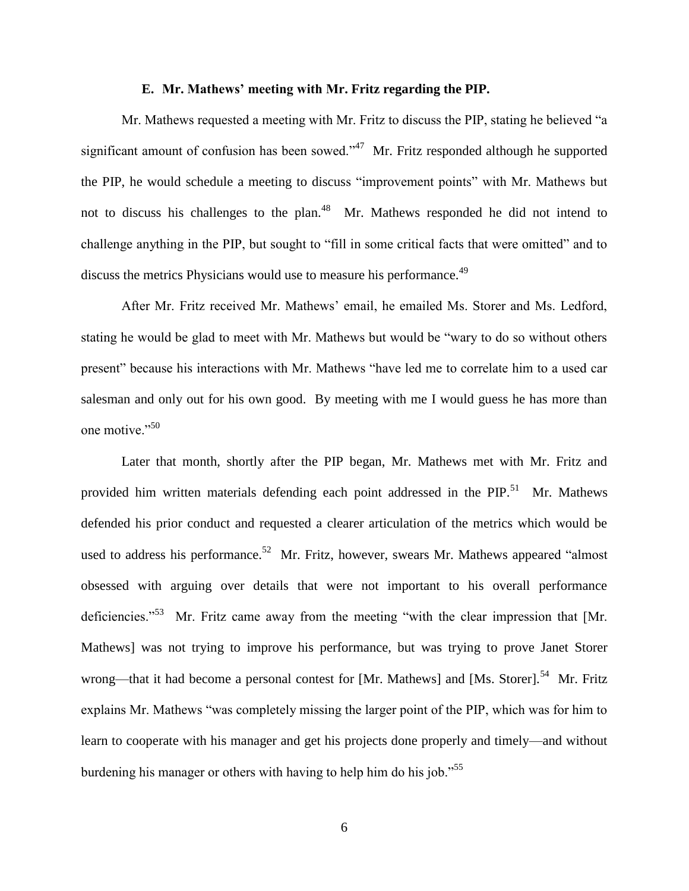#### **E. Mr. Mathews' meeting with Mr. Fritz regarding the PIP.**

Mr. Mathews requested a meeting with Mr. Fritz to discuss the PIP, stating he believed "a significant amount of confusion has been sowed."<sup>47</sup> Mr. Fritz responded although he supported the PIP, he would schedule a meeting to discuss "improvement points" with Mr. Mathews but not to discuss his challenges to the plan.<sup>48</sup> Mr. Mathews responded he did not intend to challenge anything in the PIP, but sought to "fill in some critical facts that were omitted" and to discuss the metrics Physicians would use to measure his performance.<sup>49</sup>

After Mr. Fritz received Mr. Mathews' email, he emailed Ms. Storer and Ms. Ledford, stating he would be glad to meet with Mr. Mathews but would be "wary to do so without others present" because his interactions with Mr. Mathews "have led me to correlate him to a used car salesman and only out for his own good. By meeting with me I would guess he has more than one motive."<sup>50</sup>

Later that month, shortly after the PIP began, Mr. Mathews met with Mr. Fritz and provided him written materials defending each point addressed in the PIP.<sup>51</sup> Mr. Mathews defended his prior conduct and requested a clearer articulation of the metrics which would be used to address his performance.<sup>52</sup> Mr. Fritz, however, swears Mr. Mathews appeared "almost obsessed with arguing over details that were not important to his overall performance deficiencies."<sup>53</sup> Mr. Fritz came away from the meeting "with the clear impression that [Mr. Mathews] was not trying to improve his performance, but was trying to prove Janet Storer wrong—that it had become a personal contest for [Mr. Mathews] and [Ms. Storer].<sup>54</sup> Mr. Fritz explains Mr. Mathews "was completely missing the larger point of the PIP, which was for him to learn to cooperate with his manager and get his projects done properly and timely—and without burdening his manager or others with having to help him do his job."<sup>55</sup>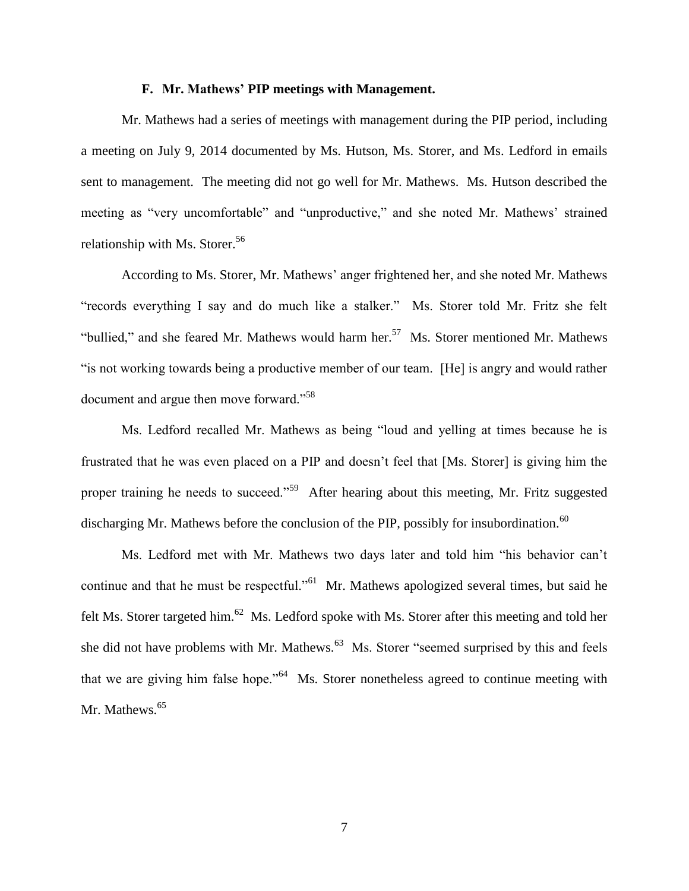#### **F. Mr. Mathews' PIP meetings with Management.**

Mr. Mathews had a series of meetings with management during the PIP period, including a meeting on July 9, 2014 documented by Ms. Hutson, Ms. Storer, and Ms. Ledford in emails sent to management. The meeting did not go well for Mr. Mathews. Ms. Hutson described the meeting as "very uncomfortable" and "unproductive," and she noted Mr. Mathews' strained relationship with Ms. Storer.<sup>56</sup>

According to Ms. Storer, Mr. Mathews' anger frightened her, and she noted Mr. Mathews "records everything I say and do much like a stalker." Ms. Storer told Mr. Fritz she felt "bullied," and she feared Mr. Mathews would harm her.<sup>57</sup> Ms. Storer mentioned Mr. Mathews "is not working towards being a productive member of our team. [He] is angry and would rather document and argue then move forward."<sup>58</sup>

Ms. Ledford recalled Mr. Mathews as being "loud and yelling at times because he is frustrated that he was even placed on a PIP and doesn't feel that [Ms. Storer] is giving him the proper training he needs to succeed."<sup>59</sup> After hearing about this meeting, Mr. Fritz suggested discharging Mr. Mathews before the conclusion of the PIP, possibly for insubordination.<sup>60</sup>

Ms. Ledford met with Mr. Mathews two days later and told him "his behavior can't continue and that he must be respectful."<sup>61</sup> Mr. Mathews apologized several times, but said he felt Ms. Storer targeted him.<sup>62</sup> Ms. Ledford spoke with Ms. Storer after this meeting and told her she did not have problems with Mr. Mathews.<sup>63</sup> Ms. Storer "seemed surprised by this and feels that we are giving him false hope."<sup>64</sup> Ms. Storer nonetheless agreed to continue meeting with Mr. Mathews.<sup>65</sup>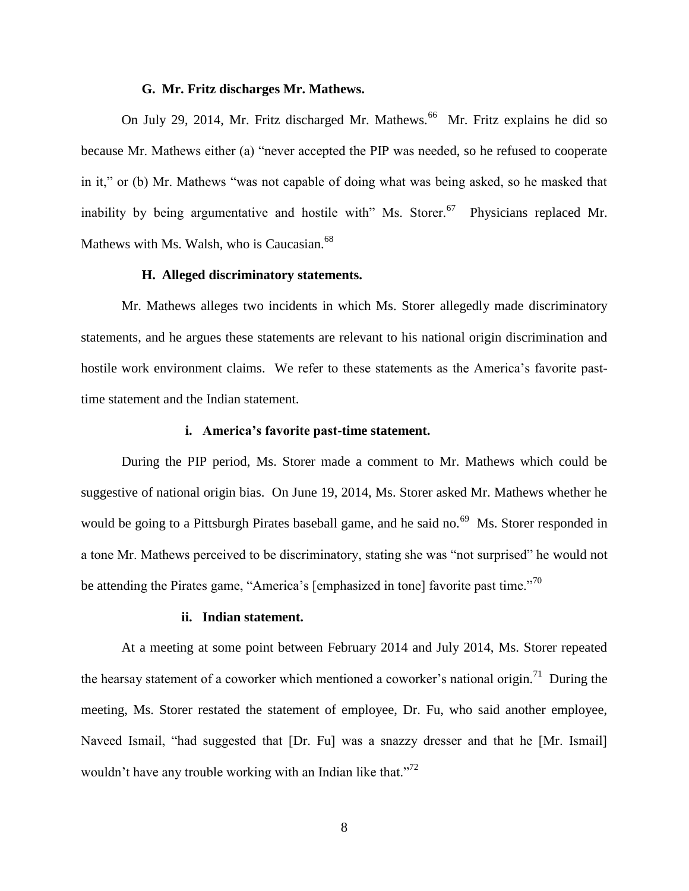#### **G. Mr. Fritz discharges Mr. Mathews.**

On July 29, 2014, Mr. Fritz discharged Mr. Mathews.<sup>66</sup> Mr. Fritz explains he did so because Mr. Mathews either (a) "never accepted the PIP was needed, so he refused to cooperate in it," or (b) Mr. Mathews "was not capable of doing what was being asked, so he masked that inability by being argumentative and hostile with" Ms. Storer.<sup>67</sup> Physicians replaced Mr. Mathews with Ms. Walsh, who is Caucasian.<sup>68</sup>

#### **H. Alleged discriminatory statements.**

Mr. Mathews alleges two incidents in which Ms. Storer allegedly made discriminatory statements, and he argues these statements are relevant to his national origin discrimination and hostile work environment claims. We refer to these statements as the America's favorite pasttime statement and the Indian statement.

#### **i. America's favorite past-time statement.**

During the PIP period, Ms. Storer made a comment to Mr. Mathews which could be suggestive of national origin bias. On June 19, 2014, Ms. Storer asked Mr. Mathews whether he would be going to a Pittsburgh Pirates baseball game, and he said no.<sup>69</sup> Ms. Storer responded in a tone Mr. Mathews perceived to be discriminatory, stating she was "not surprised" he would not be attending the Pirates game, "America's [emphasized in tone] favorite past time."<sup>70</sup>

#### **ii. Indian statement.**

At a meeting at some point between February 2014 and July 2014, Ms. Storer repeated the hearsay statement of a coworker which mentioned a coworker's national origin.<sup>71</sup> During the meeting, Ms. Storer restated the statement of employee, Dr. Fu, who said another employee, Naveed Ismail, "had suggested that [Dr. Fu] was a snazzy dresser and that he [Mr. Ismail] wouldn't have any trouble working with an Indian like that."<sup>72</sup>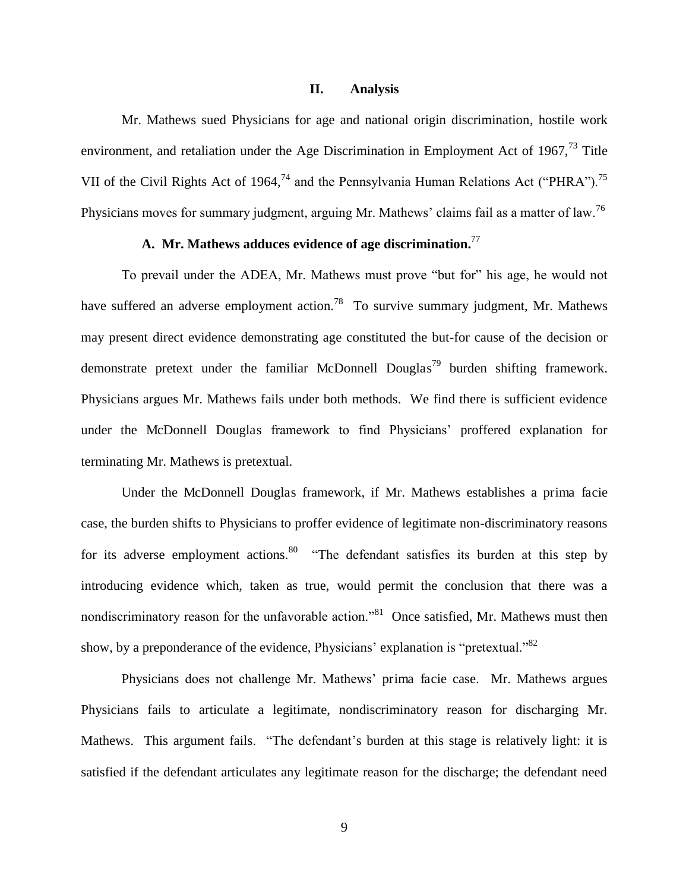#### **II. Analysis**

Mr. Mathews sued Physicians for age and national origin discrimination, hostile work environment, and retaliation under the Age Discrimination in Employment Act of 1967, $^{73}$  Title VII of the Civil Rights Act of 1964,<sup>74</sup> and the Pennsylvania Human Relations Act ("PHRA").<sup>75</sup> Physicians moves for summary judgment, arguing Mr. Mathews' claims fail as a matter of law.<sup>76</sup>

# **A. Mr. Mathews adduces evidence of age discrimination.**<sup>77</sup>

To prevail under the ADEA, Mr. Mathews must prove "but for" his age, he would not have suffered an adverse employment action.<sup>78</sup> To survive summary judgment, Mr. Mathews may present direct evidence demonstrating age constituted the but-for cause of the decision or demonstrate pretext under the familiar McDonnell Douglas<sup>79</sup> burden shifting framework. Physicians argues Mr. Mathews fails under both methods. We find there is sufficient evidence under the McDonnell Douglas framework to find Physicians' proffered explanation for terminating Mr. Mathews is pretextual.

Under the McDonnell Douglas framework, if Mr. Mathews establishes a prima facie case, the burden shifts to Physicians to proffer evidence of legitimate non-discriminatory reasons for its adverse employment actions. <sup>80</sup> "The defendant satisfies its burden at this step by introducing evidence which, taken as true, would permit the conclusion that there was a nondiscriminatory reason for the unfavorable action."<sup>81</sup> Once satisfied, Mr. Mathews must then show, by a preponderance of the evidence, Physicians' explanation is "pretextual." $82$ 

Physicians does not challenge Mr. Mathews' prima facie case. Mr. Mathews argues Physicians fails to articulate a legitimate, nondiscriminatory reason for discharging Mr. Mathews. This argument fails. "The defendant's burden at this stage is relatively light: it is satisfied if the defendant articulates any legitimate reason for the discharge; the defendant need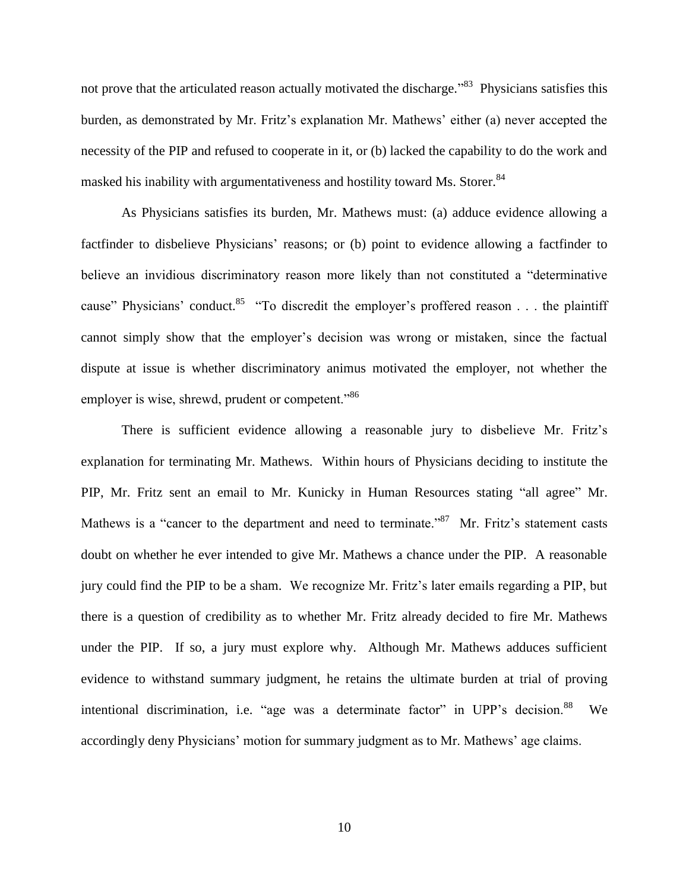not prove that the articulated reason actually motivated the discharge."<sup>83</sup> Physicians satisfies this burden, as demonstrated by Mr. Fritz's explanation Mr. Mathews' either (a) never accepted the necessity of the PIP and refused to cooperate in it, or (b) lacked the capability to do the work and masked his inability with argumentativeness and hostility toward Ms. Storer.<sup>84</sup>

As Physicians satisfies its burden, Mr. Mathews must: (a) adduce evidence allowing a factfinder to disbelieve Physicians' reasons; or (b) point to evidence allowing a factfinder to believe an invidious discriminatory reason more likely than not constituted a "determinative cause" Physicians' conduct.<sup>85</sup> "To discredit the employer's proffered reason . . . the plaintiff cannot simply show that the employer's decision was wrong or mistaken, since the factual dispute at issue is whether discriminatory animus motivated the employer, not whether the employer is wise, shrewd, prudent or competent."<sup>86</sup>

There is sufficient evidence allowing a reasonable jury to disbelieve Mr. Fritz's explanation for terminating Mr. Mathews. Within hours of Physicians deciding to institute the PIP, Mr. Fritz sent an email to Mr. Kunicky in Human Resources stating "all agree" Mr. Mathews is a "cancer to the department and need to terminate."<sup>87</sup> Mr. Fritz's statement casts doubt on whether he ever intended to give Mr. Mathews a chance under the PIP. A reasonable jury could find the PIP to be a sham. We recognize Mr. Fritz's later emails regarding a PIP, but there is a question of credibility as to whether Mr. Fritz already decided to fire Mr. Mathews under the PIP. If so, a jury must explore why. Although Mr. Mathews adduces sufficient evidence to withstand summary judgment, he retains the ultimate burden at trial of proving intentional discrimination, i.e. "age was a determinate factor" in UPP's decision.<sup>88</sup> We accordingly deny Physicians' motion for summary judgment as to Mr. Mathews' age claims.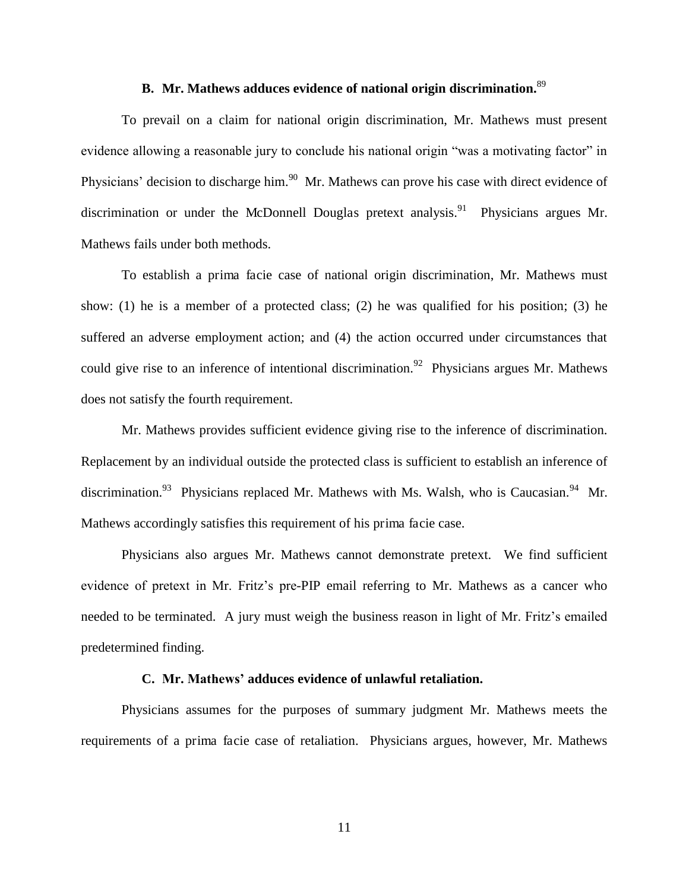# **B. Mr. Mathews adduces evidence of national origin discrimination.**<sup>89</sup>

To prevail on a claim for national origin discrimination, Mr. Mathews must present evidence allowing a reasonable jury to conclude his national origin "was a motivating factor" in Physicians' decision to discharge him.<sup>90</sup> Mr. Mathews can prove his case with direct evidence of discrimination or under the McDonnell Douglas pretext analysis.<sup>91</sup> Physicians argues Mr. Mathews fails under both methods.

To establish a prima facie case of national origin discrimination, Mr. Mathews must show: (1) he is a member of a protected class; (2) he was qualified for his position; (3) he suffered an adverse employment action; and (4) the action occurred under circumstances that could give rise to an inference of intentional discrimination.<sup>92</sup> Physicians argues Mr. Mathews does not satisfy the fourth requirement.

Mr. Mathews provides sufficient evidence giving rise to the inference of discrimination. Replacement by an individual outside the protected class is sufficient to establish an inference of discrimination.<sup>93</sup> Physicians replaced Mr. Mathews with Ms. Walsh, who is Caucasian.<sup>94</sup> Mr. Mathews accordingly satisfies this requirement of his prima facie case.

Physicians also argues Mr. Mathews cannot demonstrate pretext. We find sufficient evidence of pretext in Mr. Fritz's pre-PIP email referring to Mr. Mathews as a cancer who needed to be terminated. A jury must weigh the business reason in light of Mr. Fritz's emailed predetermined finding.

#### **C. Mr. Mathews' adduces evidence of unlawful retaliation.**

Physicians assumes for the purposes of summary judgment Mr. Mathews meets the requirements of a prima facie case of retaliation. Physicians argues, however, Mr. Mathews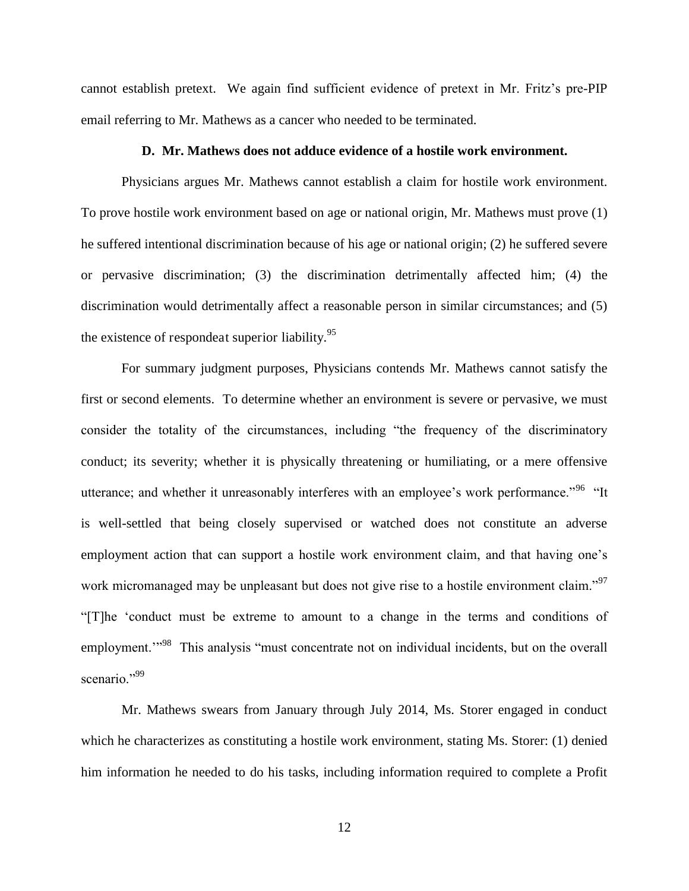cannot establish pretext. We again find sufficient evidence of pretext in Mr. Fritz's pre-PIP email referring to Mr. Mathews as a cancer who needed to be terminated.

## **D. Mr. Mathews does not adduce evidence of a hostile work environment.**

Physicians argues Mr. Mathews cannot establish a claim for hostile work environment. To prove hostile work environment based on age or national origin, Mr. Mathews must prove (1) he suffered intentional discrimination because of his age or national origin; (2) he suffered severe or pervasive discrimination; (3) the discrimination detrimentally affected him; (4) the discrimination would detrimentally affect a reasonable person in similar circumstances; and (5) the existence of respondeat superior liability. $95$ 

For summary judgment purposes, Physicians contends Mr. Mathews cannot satisfy the first or second elements. To determine whether an environment is severe or pervasive, we must consider the totality of the circumstances, including "the frequency of the discriminatory conduct; its severity; whether it is physically threatening or humiliating, or a mere offensive utterance; and whether it unreasonably interferes with an employee's work performance."<sup>96</sup> "It is well-settled that being closely supervised or watched does not constitute an adverse employment action that can support a hostile work environment claim, and that having one's work micromanaged may be unpleasant but does not give rise to a hostile environment claim."<sup>97</sup> "[T]he 'conduct must be extreme to amount to a change in the terms and conditions of employment."<sup>98</sup> This analysis "must concentrate not on individual incidents, but on the overall scenario."<sup>99</sup>

Mr. Mathews swears from January through July 2014, Ms. Storer engaged in conduct which he characterizes as constituting a hostile work environment, stating Ms. Storer: (1) denied him information he needed to do his tasks, including information required to complete a Profit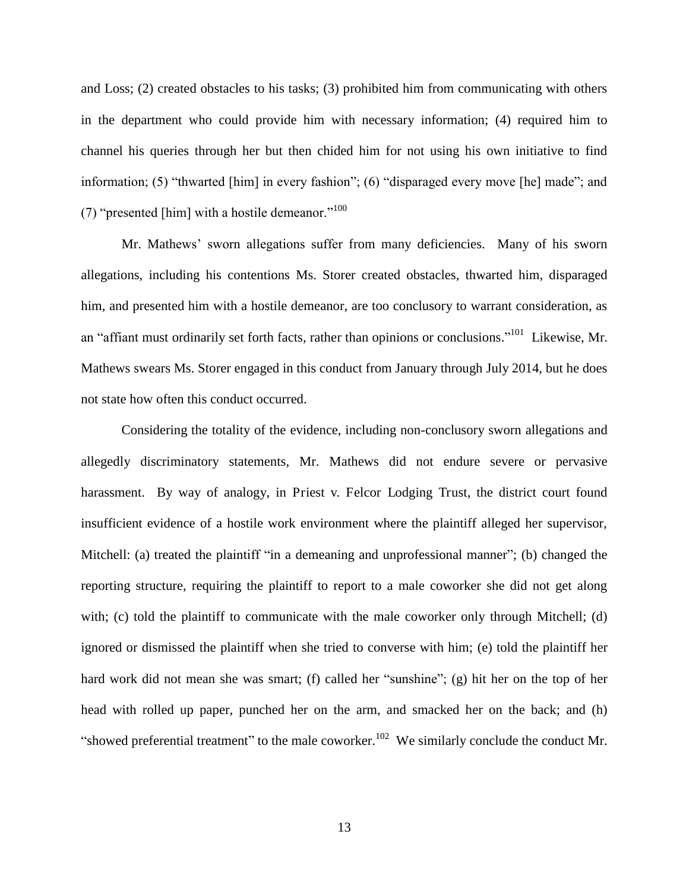and Loss; (2) created obstacles to his tasks; (3) prohibited him from communicating with others in the department who could provide him with necessary information; (4) required him to channel his queries through her but then chided him for not using his own initiative to find information; (5) "thwarted [him] in every fashion"; (6) "disparaged every move [he] made"; and (7) "presented [him] with a hostile demeanor."<sup>100</sup>

Mr. Mathews' sworn allegations suffer from many deficiencies. Many of his sworn allegations, including his contentions Ms. Storer created obstacles, thwarted him, disparaged him, and presented him with a hostile demeanor, are too conclusory to warrant consideration, as an "affiant must ordinarily set forth facts, rather than opinions or conclusions."<sup>101</sup> Likewise, Mr. Mathews swears Ms. Storer engaged in this conduct from January through July 2014, but he does not state how often this conduct occurred.

Considering the totality of the evidence, including non-conclusory sworn allegations and allegedly discriminatory statements, Mr. Mathews did not endure severe or pervasive harassment. By way of analogy, in Priest v. Felcor Lodging Trust, the district court found insufficient evidence of a hostile work environment where the plaintiff alleged her supervisor, Mitchell: (a) treated the plaintiff "in a demeaning and unprofessional manner"; (b) changed the reporting structure, requiring the plaintiff to report to a male coworker she did not get along with; (c) told the plaintiff to communicate with the male coworker only through Mitchell; (d) ignored or dismissed the plaintiff when she tried to converse with him; (e) told the plaintiff her hard work did not mean she was smart; (f) called her "sunshine"; (g) hit her on the top of her head with rolled up paper, punched her on the arm, and smacked her on the back; and (h) "showed preferential treatment" to the male coworker.<sup>102</sup> We similarly conclude the conduct Mr.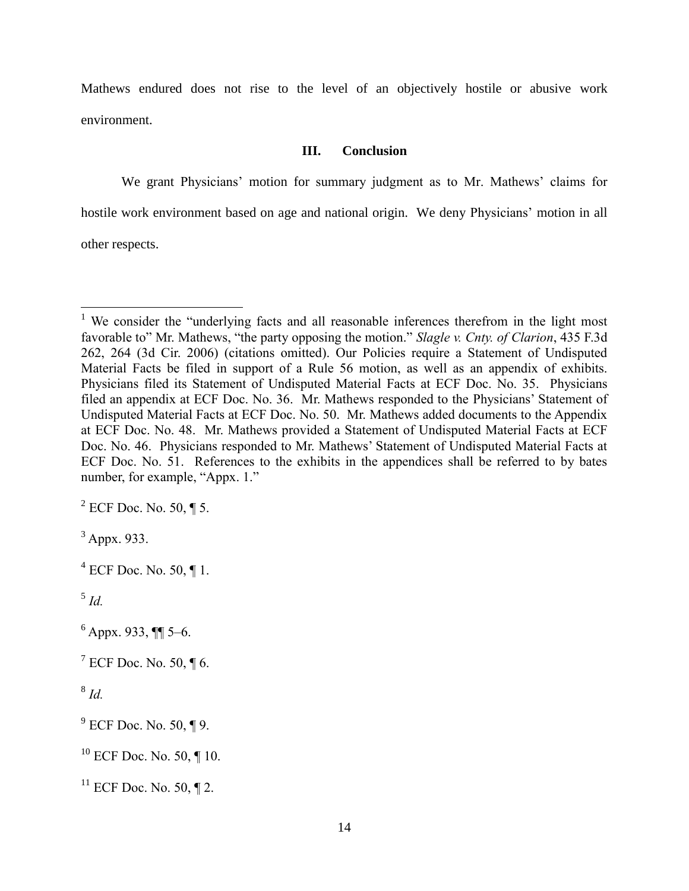Mathews endured does not rise to the level of an objectively hostile or abusive work environment.

# **III. Conclusion**

We grant Physicians' motion for summary judgment as to Mr. Mathews' claims for hostile work environment based on age and national origin. We deny Physicians' motion in all other respects.

<sup>&</sup>lt;sup>1</sup> We consider the "underlying facts and all reasonable inferences therefrom in the light most favorable to" Mr. Mathews, "the party opposing the motion." *Slagle v. Cnty. of Clarion*, 435 F.3d 262, 264 (3d Cir. 2006) (citations omitted). Our Policies require a Statement of Undisputed Material Facts be filed in support of a Rule 56 motion, as well as an appendix of exhibits. Physicians filed its Statement of Undisputed Material Facts at ECF Doc. No. 35. Physicians filed an appendix at ECF Doc. No. 36. Mr. Mathews responded to the Physicians' Statement of Undisputed Material Facts at ECF Doc. No. 50. Mr. Mathews added documents to the Appendix at ECF Doc. No. 48. Mr. Mathews provided a Statement of Undisputed Material Facts at ECF Doc. No. 46. Physicians responded to Mr. Mathews' Statement of Undisputed Material Facts at ECF Doc. No. 51. References to the exhibits in the appendices shall be referred to by bates number, for example, "Appx. 1."

 $2$  ECF Doc. No. 50,  $\P$  5.

 $3$  Appx. 933.

 $4$  ECF Doc. No. 50,  $\P$  1.

<sup>5</sup> *Id.*

 $6$  Appx. 933,  $\P$  5–6.

 $7$  ECF Doc. No. 50,  $\P$  6.

<sup>8</sup> *Id.*

 $9^9$  ECF Doc. No. 50, ¶ 9.

 $10$  ECF Doc. No. 50, ¶ 10.

 $11$  ECF Doc. No. 50, ¶ 2.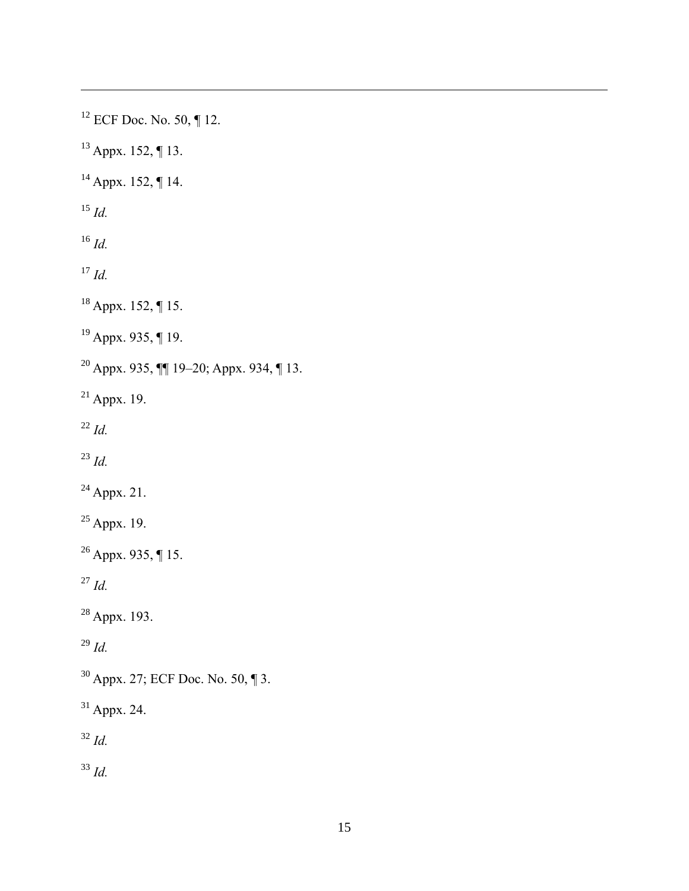ECF Doc. No. 50, ¶ 12. Appx. 152, ¶ 13. Appx. 152, ¶ 14. *Id. Id. Id.* Appx. 152, ¶ 15. Appx. 935, ¶ 19. Appx. 935, ¶¶ 19–20; Appx. 934, ¶ 13. Appx. 19. *Id. Id.*  $^{24}$  Appx. 21. Appx. 19. <sup>26</sup> Appx. 935, ¶ 15. *Id.* Appx. 193. *Id.* Appx. 27; ECF Doc. No. 50, ¶ 3. Appx. 24. *Id. Id.*

 $\overline{a}$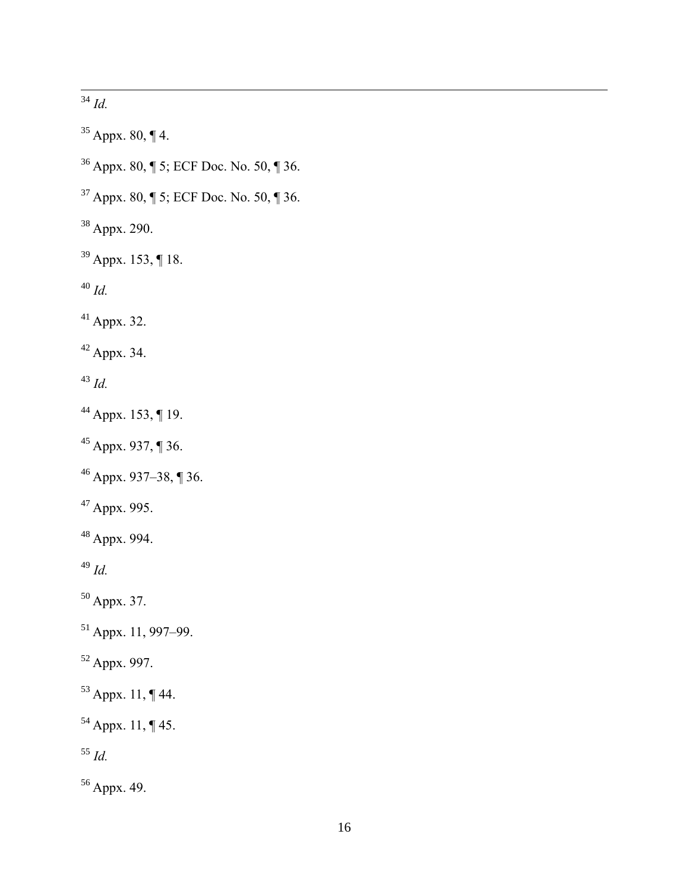$\overline{a}$ *Id.*

 Appx. 80, ¶ 4. Appx. 80, ¶ 5; ECF Doc. No. 50, ¶ 36. Appx. 80, ¶ 5; ECF Doc. No. 50, ¶ 36. Appx. 290. Appx. 153, ¶ 18. *Id.* Appx. 32. Appx. 34. *Id.* Appx. 153, ¶ 19. Appx. 937, ¶ 36. Appx. 937–38, ¶ 36. Appx. 995. Appx. 994. *Id.* Appx. 37. Appx. 11, 997–99. Appx. 997. Appx. 11, ¶ 44. Appx. 11, ¶ 45. *Id.* Appx. 49.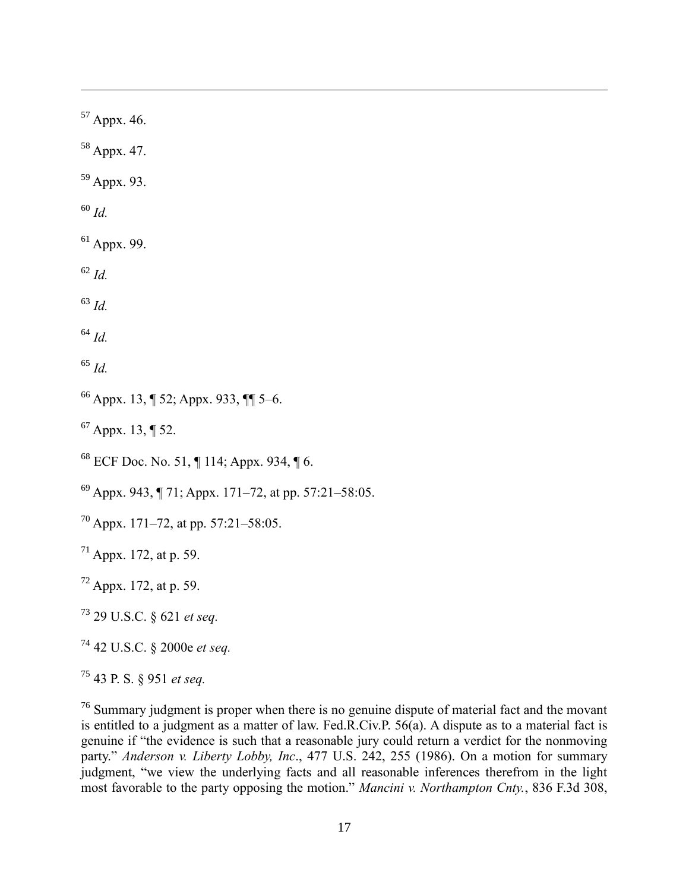Appx. 46.

Appx. 47.

Appx. 93.

*Id.*

 $\overline{a}$ 

Appx. 99.

*Id.*

*Id.*

*Id.*

*Id.*

Appx. 13, ¶ 52; Appx. 933, ¶¶ 5–6.

Appx. 13, ¶ 52.

ECF Doc. No. 51,  $\P$  114; Appx. 934,  $\P$  6.

 $^{69}$  Appx. 943, ¶ 71; Appx. 171–72, at pp. 57:21–58:05.

Appx. 171–72, at pp. 57:21–58:05.

Appx. 172, at p. 59.

Appx. 172, at p. 59.

29 U.S.C. § 621 *et seq.*

42 U.S.C. § 2000e *et seq.*

43 P. S. § 951 *et seq.*

<sup>76</sup> Summary judgment is proper when there is no genuine dispute of material fact and the movant is entitled to a judgment as a matter of law. Fed.R.Civ.P. 56(a). A dispute as to a material fact is genuine if "the evidence is such that a reasonable jury could return a verdict for the nonmoving party." *Anderson v. Liberty Lobby, Inc*., 477 U.S. 242, 255 (1986). On a motion for summary judgment, "we view the underlying facts and all reasonable inferences therefrom in the light most favorable to the party opposing the motion." *Mancini v. Northampton Cnty.*, 836 F.3d 308,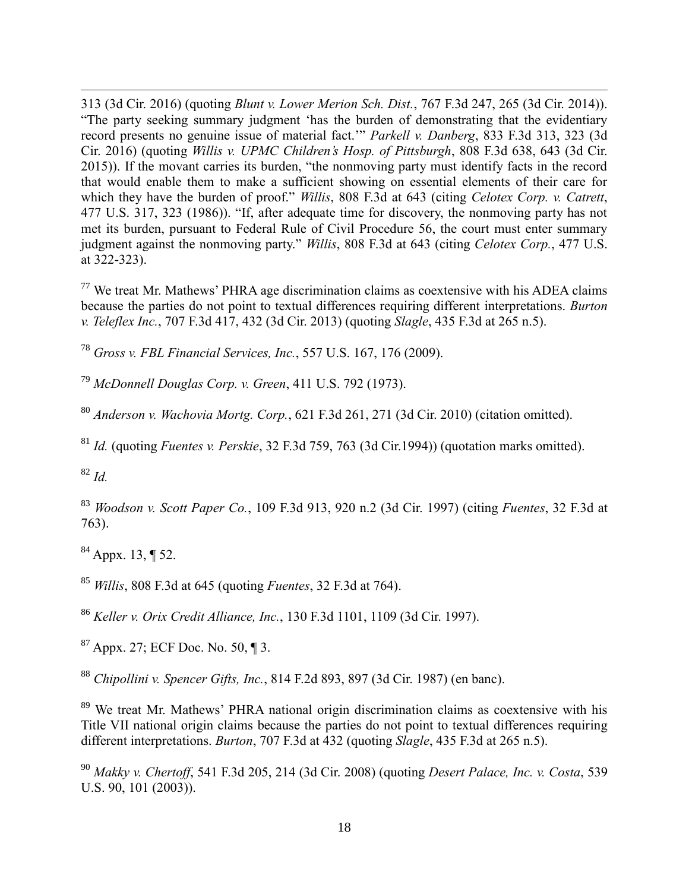313 (3d Cir. 2016) (quoting *Blunt v. Lower Merion Sch. Dist.*, 767 F.3d 247, 265 (3d Cir. 2014)). "The party seeking summary judgment 'has the burden of demonstrating that the evidentiary record presents no genuine issue of material fact.'" *Parkell v. Danberg*, 833 F.3d 313, 323 (3d Cir. 2016) (quoting *Willis v. UPMC Children's Hosp. of Pittsburgh*, 808 F.3d 638, 643 (3d Cir. 2015)). If the movant carries its burden, "the nonmoving party must identify facts in the record that would enable them to make a sufficient showing on essential elements of their care for which they have the burden of proof." *Willis*, 808 F.3d at 643 (citing *Celotex Corp. v. Catrett*, 477 U.S. 317, 323 (1986)). "If, after adequate time for discovery, the nonmoving party has not met its burden, pursuant to Federal Rule of Civil Procedure 56, the court must enter summary judgment against the nonmoving party." *Willis*, 808 F.3d at 643 (citing *Celotex Corp.*, 477 U.S. at 322-323).

 $77$  We treat Mr. Mathews' PHRA age discrimination claims as coextensive with his ADEA claims because the parties do not point to textual differences requiring different interpretations. *Burton v. Teleflex Inc.*, 707 F.3d 417, 432 (3d Cir. 2013) (quoting *Slagle*, 435 F.3d at 265 n.5).

<sup>78</sup> *Gross v. FBL Financial Services, Inc.*, 557 U.S. 167, 176 (2009).

<sup>79</sup> *McDonnell Douglas Corp. v. Green*, 411 U.S. 792 (1973).

<sup>80</sup> *Anderson v. Wachovia Mortg. Corp.*, 621 F.3d 261, 271 (3d Cir. 2010) (citation omitted).

<sup>81</sup> *Id.* (quoting *Fuentes v. Perskie*, 32 F.3d 759, 763 (3d Cir.1994)) (quotation marks omitted).

<sup>82</sup> *Id.*

 $\overline{a}$ 

<sup>83</sup> *Woodson v. Scott Paper Co.*, 109 F.3d 913, 920 n.2 (3d Cir. 1997) (citing *Fuentes*, 32 F.3d at 763).

 $84$  Appx. 13, ¶ 52.

<sup>85</sup> *Willis*, 808 F.3d at 645 (quoting *Fuentes*, 32 F.3d at 764).

<sup>86</sup> *Keller v. Orix Credit Alliance, Inc.*, 130 F.3d 1101, 1109 (3d Cir. 1997).

<sup>87</sup> Appx. 27; ECF Doc. No. 50, ¶ 3.

<sup>88</sup> *Chipollini v. Spencer Gifts, Inc.*, 814 F.2d 893, 897 (3d Cir. 1987) (en banc).

<sup>89</sup> We treat Mr. Mathews' PHRA national origin discrimination claims as coextensive with his Title VII national origin claims because the parties do not point to textual differences requiring different interpretations. *Burton*, 707 F.3d at 432 (quoting *Slagle*, 435 F.3d at 265 n.5).

<sup>90</sup> *Makky v. Chertoff*, 541 F.3d 205, 214 (3d Cir. 2008) (quoting *Desert Palace, Inc. v. Costa*, 539 U.S. 90, 101 (2003)).